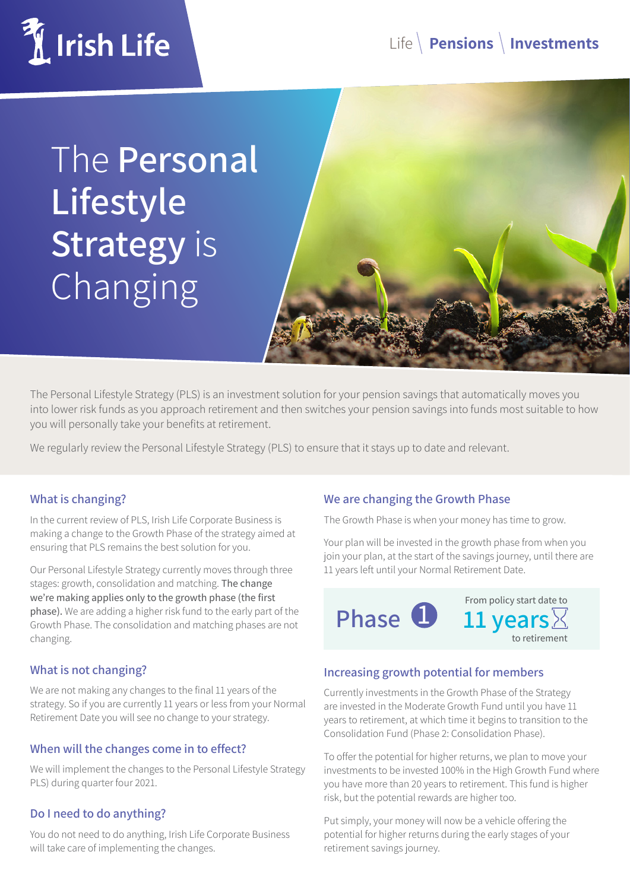

The **Personal Lifestyle Strategy** is Changing



The Personal Lifestyle Strategy (PLS) is an investment solution for your pension savings that automatically moves you into lower risk funds as you approach retirement and then switches your pension savings into funds most suitable to how you will personally take your benefits at retirement.

We regularly review the Personal Lifestyle Strategy (PLS) to ensure that it stays up to date and relevant.

## **What is changing?**

In the current review of PLS, Irish Life Corporate Business is making a change to the Growth Phase of the strategy aimed at ensuring that PLS remains the best solution for you.

Our Personal Lifestyle Strategy currently moves through three stages: growth, consolidation and matching. The change we're making applies only to the growth phase (the first phase). We are adding a higher risk fund to the early part of the Growth Phase. The consolidation and matching phases are not changing.

# **What is not changing?**

We are not making any changes to the final 11 years of the strategy. So if you are currently 11 years or less from your Normal Retirement Date you will see no change to your strategy.

## **When will the changes come in to effect?**

We will implement the changes to the Personal Lifestyle Strategy PLS) during quarter four 2021.

## **Do I need to do anything?**

You do not need to do anything, Irish Life Corporate Business will take care of implementing the changes.

## **We are changing the Growth Phase**

The Growth Phase is when your money has time to grow.

Your plan will be invested in the growth phase from when you join your plan, at the start of the savings journey, until there are 11 years left until your Normal Retirement Date.



# **Increasing growth potential for members**

Currently investments in the Growth Phase of the Strategy are invested in the Moderate Growth Fund until you have 11 years to retirement, at which time it begins to transition to the Consolidation Fund (Phase 2: Consolidation Phase).

To offer the potential for higher returns, we plan to move your investments to be invested 100% in the High Growth Fund where you have more than 20 years to retirement. This fund is higher risk, but the potential rewards are higher too.

Put simply, your money will now be a vehicle offering the potential for higher returns during the early stages of your retirement savings journey.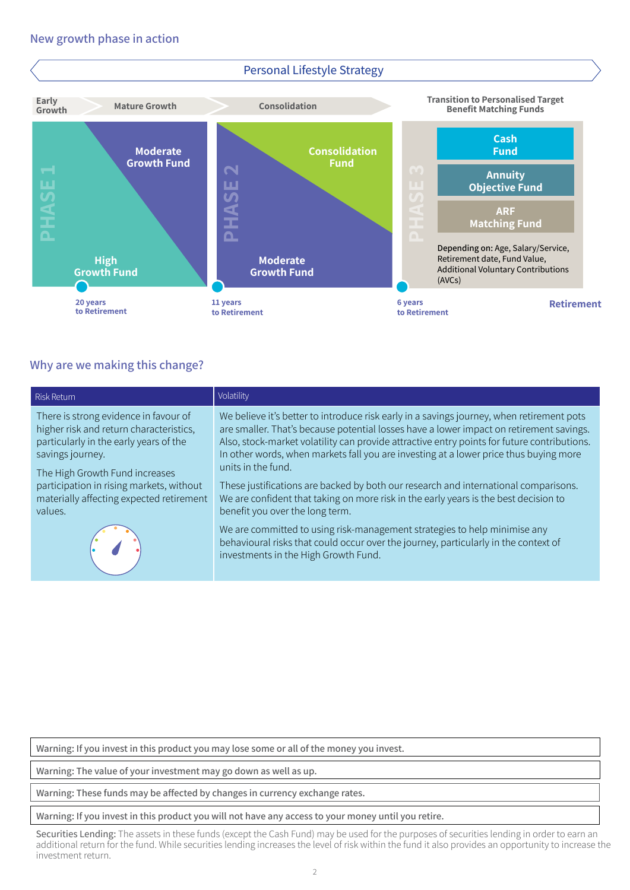

## **Why are we making this change?**

|                                                                                                                                                                                                                                                                                     | ш                                                                                                                                                                                                                                                                                                                                                                                                                                                                                                                                                                                                                                                                                                                                                                                                                                | ш<br>$U_{\mathcal{D}}$   | <b>Annuity</b><br><b>Objective Fund</b>                                                                                   |  |
|-------------------------------------------------------------------------------------------------------------------------------------------------------------------------------------------------------------------------------------------------------------------------------------|----------------------------------------------------------------------------------------------------------------------------------------------------------------------------------------------------------------------------------------------------------------------------------------------------------------------------------------------------------------------------------------------------------------------------------------------------------------------------------------------------------------------------------------------------------------------------------------------------------------------------------------------------------------------------------------------------------------------------------------------------------------------------------------------------------------------------------|--------------------------|---------------------------------------------------------------------------------------------------------------------------|--|
|                                                                                                                                                                                                                                                                                     | PHASI                                                                                                                                                                                                                                                                                                                                                                                                                                                                                                                                                                                                                                                                                                                                                                                                                            | $\leq$ 1<br>m m          | <b>ARF</b><br><b>Matching Fund</b>                                                                                        |  |
| <b>High</b><br><b>Growth Fund</b>                                                                                                                                                                                                                                                   | <b>Moderate</b><br><b>Growth Fund</b>                                                                                                                                                                                                                                                                                                                                                                                                                                                                                                                                                                                                                                                                                                                                                                                            | $\Box$                   | Depending on: Age, Salary/Service,<br>Retirement date, Fund Value,<br><b>Additional Voluntary Contributions</b><br>(AVCs) |  |
| 20 years<br>to Retirement                                                                                                                                                                                                                                                           | 11 years<br>to Retirement                                                                                                                                                                                                                                                                                                                                                                                                                                                                                                                                                                                                                                                                                                                                                                                                        | 6 years<br>to Retirement | Retiremen                                                                                                                 |  |
| <b>Nhy are we making this change?</b>                                                                                                                                                                                                                                               |                                                                                                                                                                                                                                                                                                                                                                                                                                                                                                                                                                                                                                                                                                                                                                                                                                  |                          |                                                                                                                           |  |
| <b>Risk Return</b>                                                                                                                                                                                                                                                                  | Volatility                                                                                                                                                                                                                                                                                                                                                                                                                                                                                                                                                                                                                                                                                                                                                                                                                       |                          |                                                                                                                           |  |
| There is strong evidence in favour of<br>higher risk and return characteristics,<br>particularly in the early years of the<br>savings journey.<br>The High Growth Fund increases<br>participation in rising markets, without<br>materially affecting expected retirement<br>values. | We believe it's better to introduce risk early in a savings journey, when retirement pots<br>are smaller. That's because potential losses have a lower impact on retirement savings.<br>Also, stock-market volatility can provide attractive entry points for future contributions.<br>In other words, when markets fall you are investing at a lower price thus buying more<br>units in the fund.<br>These justifications are backed by both our research and international comparisons.<br>We are confident that taking on more risk in the early years is the best decision to<br>benefit you over the long term.<br>We are committed to using risk-management strategies to help minimise any<br>behavioural risks that could occur over the journey, particularly in the context of<br>investments in the High Growth Fund. |                          |                                                                                                                           |  |
|                                                                                                                                                                                                                                                                                     |                                                                                                                                                                                                                                                                                                                                                                                                                                                                                                                                                                                                                                                                                                                                                                                                                                  |                          |                                                                                                                           |  |
| Warning: If you invest in this product you may lose some or all of the money you invest.                                                                                                                                                                                            |                                                                                                                                                                                                                                                                                                                                                                                                                                                                                                                                                                                                                                                                                                                                                                                                                                  |                          |                                                                                                                           |  |
| Warning: The value of your investment may go down as well as up.                                                                                                                                                                                                                    |                                                                                                                                                                                                                                                                                                                                                                                                                                                                                                                                                                                                                                                                                                                                                                                                                                  |                          |                                                                                                                           |  |
| Warning: These funds may be affected by changes in currency exchange rates.                                                                                                                                                                                                         |                                                                                                                                                                                                                                                                                                                                                                                                                                                                                                                                                                                                                                                                                                                                                                                                                                  |                          |                                                                                                                           |  |
| Warning: If you invest in this product you will not have any access to your money until you retire.                                                                                                                                                                                 |                                                                                                                                                                                                                                                                                                                                                                                                                                                                                                                                                                                                                                                                                                                                                                                                                                  |                          |                                                                                                                           |  |
| Securities Lending: The assets in these funds (except the Cash Fund) may be used for the purposes of securities lending in order to earn an additional return for the fund. While securities lending increases the level of ri<br>investment return.                                |                                                                                                                                                                                                                                                                                                                                                                                                                                                                                                                                                                                                                                                                                                                                                                                                                                  |                          |                                                                                                                           |  |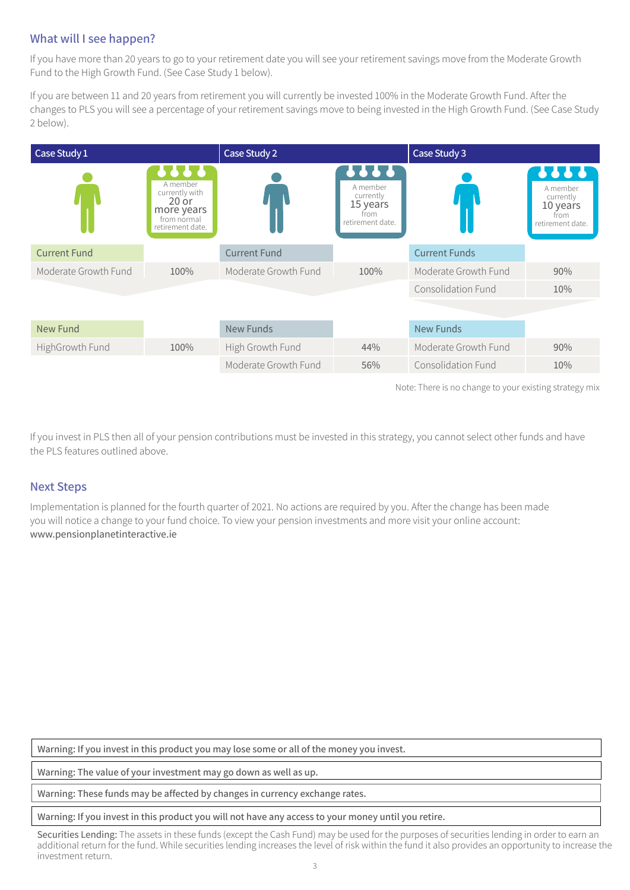# **What will I see happen?**

If you have more than 20 years to go to your retirement date you will see your retirement savings move from the Moderate Growth Fund to the High Growth Fund. (See Case Study 1 below).

If you are between 11 and 20 years from retirement you will currently be invested 100% in the Moderate Growth Fund. After the changes to PLS you will see a percentage of your retirement savings move to being invested in the High Growth Fund. (See Case Study 2 below).

| Case Study 1         |                                                                                                               | Case Study 2         |                                                                       | Case Study 3              |                                                                       |
|----------------------|---------------------------------------------------------------------------------------------------------------|----------------------|-----------------------------------------------------------------------|---------------------------|-----------------------------------------------------------------------|
|                      | $\bullet$ $\bullet$<br>A member<br>currently with<br>$20$ or<br>more years<br>from normal<br>retirement date. |                      | 5666<br>A member<br>currently<br>15 years<br>from<br>retirement date. |                           | ,,,,<br>A member<br>currently<br>10 years<br>from<br>retirement date. |
| <b>Current Fund</b>  |                                                                                                               | <b>Current Fund</b>  |                                                                       | <b>Current Funds</b>      |                                                                       |
| Moderate Growth Fund | 100%                                                                                                          | Moderate Growth Fund | 100%                                                                  | Moderate Growth Fund      | 90%                                                                   |
|                      |                                                                                                               |                      |                                                                       | <b>Consolidation Fund</b> | 10%                                                                   |
|                      |                                                                                                               |                      |                                                                       |                           |                                                                       |
| <b>New Fund</b>      |                                                                                                               | <b>New Funds</b>     |                                                                       | <b>New Funds</b>          |                                                                       |
| HighGrowth Fund      | 100%                                                                                                          | High Growth Fund     | 44%                                                                   | Moderate Growth Fund      | 90%                                                                   |
|                      |                                                                                                               | Moderate Growth Fund | 56%                                                                   | Consolidation Fund        | 10%                                                                   |

Note: There is no change to your existing strategy mix

If you invest in PLS then all of your pension contributions must be invested in this strategy, you cannot select other funds and have the PLS features outlined above.

#### **Next Steps**

Implementation is planned for the fourth quarter of 2021. No actions are required by you. After the change has been made you will notice a change to your fund choice. To view your pension investments and more visit your online account: www.pensionplanetinteractive.ie

**Warning: If you invest in this product you may lose some or all of the money you invest.**

**Warning: The value of your investment may go down as well as up.**

**Warning: These funds may be affected by changes in currency exchange rates.**

#### **Warning: If you invest in this product you will not have any access to your money until you retire.**

Securities Lending: The assets in these funds (except the Cash Fund) may be used for the purposes of securities lending in order to earn an additional return for the fund. While securities lending increases the level of risk within the fund it also provides an opportunity to increase the investment return.